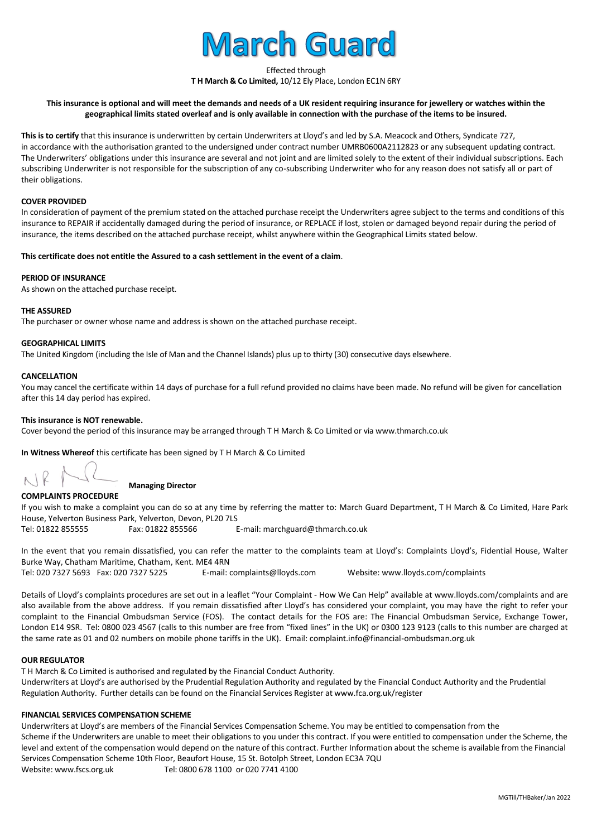

Effected through

**T H March & Co Limited,** 10/12 Ely Place, London EC1N 6RY

## **This insurance is optional and will meet the demands and needs of a UK resident requiring insurance for jewellery or watches within the geographical limits stated overleaf and is only available in connection with the purchase of the items to be insured.**

This is to certify that this insurance is underwritten by certain Underwriters at Lloyd's and led by S.A. Meacock and Others, Syndicate 727, in accordance with the authorisation granted to the undersigned under contract number UMRB0600A2112823 or any subsequent updating contract. The Underwriters' obligations under this insurance are several and not joint and are limited solely to the extent of their individual subscriptions. Each subscribing Underwriter is not responsible for the subscription of any co-subscribing Underwriter who for any reason does not satisfy all or part of their obligations.

#### **COVER PROVIDED**

In consideration of payment of the premium stated on the attached purchase receipt the Underwriters agree subject to the terms and conditions of this insurance to REPAIR if accidentally damaged during the period of insurance, or REPLACE if lost, stolen or damaged beyond repair during the period of insurance, the items described on the attached purchase receipt, whilst anywhere within the Geographical Limits stated below.

#### **This certificate does not entitle the Assured to a cash settlement in the event of a claim**.

#### **PERIOD OF INSURANCE**

As shown on the attached purchase receipt.

#### **THE ASSURED**

The purchaser or owner whose name and address is shown on the attached purchase receipt.

#### **GEOGRAPHICAL LIMITS**

The United Kingdom (including the Isle of Man and the Channel Islands) plus up to thirty (30) consecutive days elsewhere.

#### **CANCELLATION**

You may cancel the certificate within 14 days of purchase for a full refund provided no claims have been made. No refund will be given for cancellation after this 14 day period has expired.

#### **This insurance is NOT renewable.**

Cover beyond the period of this insurance may be arranged through T H March & Co Limited or vi[a www.thmarch.co.uk](http://www.thmarch.co.uk/)

**In Witness Whereof** this certificate has been signed by T H March & Co Limited

## **Managing Director**

#### **COMPLAINTS PROCEDURE**

If you wish to make a complaint you can do so at any time by referring the matter to: March Guard Department, T H March & Co Limited, Hare Park House, Yelverton Business Park, Yelverton, Devon, PL20 7LS Tel: 01822 855555 Fax: 01822 855566 E-mail: marchguard@thmarch.co.uk

In the event that you remain dissatisfied, you can refer the matter to the complaints team at Lloyd's: Complaints Lloyd's, Fidential House, Walter Burke Way, Chatham Maritime, Chatham, Kent. ME4 4RN Tel: 020 7327 5693 Fax: 020 7327 5225 E-mail: complaints@lloyds.com Website: www.lloyds.com/complaints

Details of Lloyd's complaints procedures are set out in a leaflet "Your Complaint - How We Can Help" available at www.lloyds.com/complaints and are also available from the above address. If you remain dissatisfied after Lloyd's has considered your complaint, you may have the right to refer your complaint to the Financial Ombudsman Service (FOS). The contact details for the FOS are: The Financial Ombudsman Service, Exchange Tower, London E14 9SR. Tel: 0800 023 4567 (calls to this number are free from "fixed lines" in the UK) or 0300 123 9123 (calls to this number are charged at the same rate as 01 and 02 numbers on mobile phone tariffs in the UK). Email: complaint.info@financial-ombudsman.org.uk

#### **OUR REGULATOR**

T H March & Co Limited is authorised and regulated by the Financial Conduct Authority.

Underwriters at Lloyd's are authorised by the Prudential Regulation Authority and regulated by the Financial Conduct Authority and the Prudential Regulation Authority. Further details can be found on the Financial Services Register at www.fca.org.uk/register

## **FINANCIAL SERVICES COMPENSATION SCHEME**

Underwriters at Lloyd's are members of the Financial Services Compensation Scheme. You may be entitled to compensation from the Scheme if the Underwriters are unable to meet their obligations to you under this contract. If you were entitled to compensation under the Scheme, the level and extent of the compensation would depend on the nature of this contract. Further Information about the scheme is available from the Financial Services Compensation Scheme 10th Floor, Beaufort House, 15 St. Botolph Street, London EC3A 7QU Website[: www.fscs.org.uk](http://www.fscs.org.uk/) Tel: 0800 678 1100 or 020 7741 4100